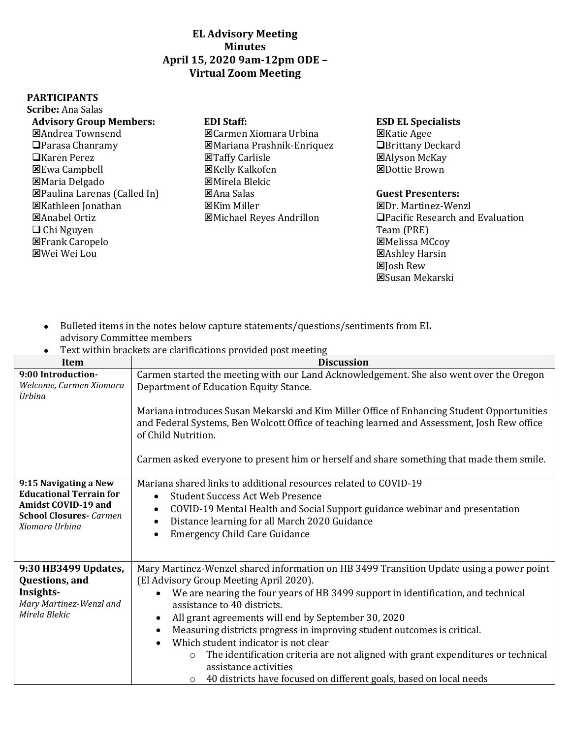# **EL Advisory Meeting Minutes April 15, 2020 9am-12pm ODE – Virtual Zoom Meeting**

### **PARTICIPANTS**

Carmen Xiomara Urbina Mariana Prashnik-Enriquez Taffy Carlisle Kelly Kalkofen Mirela Blekic Ana Salas Kim Miller Michael Reyes Andrillon

### **Advisory Group Members: EDI Staff: ESD EL Specialists**

Katie Agee **■Brittany Deckard** Alyson McKay **EDottie Brown** 

## **Guest Presenters:**

- Dr. Martinez-Wenzl □Pacific Research and Evaluation Team (PRE) Melissa MCcoy Ashley Harsin **図** Josh Rew Susan Mekarski
- Bulleted items in the notes below capture statements/questions/sentiments from EL advisory Committee members

| Text within brackets are clarifications provided post meeting                                                                             |                                                                                                                                                                                                                                                                                                                                                                                                                                                                                                                                                                                                                                                                                          |  |
|-------------------------------------------------------------------------------------------------------------------------------------------|------------------------------------------------------------------------------------------------------------------------------------------------------------------------------------------------------------------------------------------------------------------------------------------------------------------------------------------------------------------------------------------------------------------------------------------------------------------------------------------------------------------------------------------------------------------------------------------------------------------------------------------------------------------------------------------|--|
| Item                                                                                                                                      | <b>Discussion</b>                                                                                                                                                                                                                                                                                                                                                                                                                                                                                                                                                                                                                                                                        |  |
| 9:00 Introduction-<br>Welcome, Carmen Xiomara<br>Urbina                                                                                   | Carmen started the meeting with our Land Acknowledgement. She also went over the Oregon<br>Department of Education Equity Stance.<br>Mariana introduces Susan Mekarski and Kim Miller Office of Enhancing Student Opportunities<br>and Federal Systems, Ben Wolcott Office of teaching learned and Assessment, Josh Rew office                                                                                                                                                                                                                                                                                                                                                           |  |
|                                                                                                                                           | of Child Nutrition.<br>Carmen asked everyone to present him or herself and share something that made them smile.                                                                                                                                                                                                                                                                                                                                                                                                                                                                                                                                                                         |  |
| 9:15 Navigating a New<br><b>Educational Terrain for</b><br><b>Amidst COVID-19 and</b><br><b>School Closures-</b> Carmen<br>Xiomara Urbina | Mariana shared links to additional resources related to COVID-19<br><b>Student Success Act Web Presence</b><br>$\bullet$<br>COVID-19 Mental Health and Social Support guidance webinar and presentation<br>$\bullet$<br>Distance learning for all March 2020 Guidance<br>$\bullet$<br><b>Emergency Child Care Guidance</b><br>$\bullet$                                                                                                                                                                                                                                                                                                                                                  |  |
| 9:30 HB3499 Updates,<br>Questions, and<br>Insights-<br>Mary Martinez-Wenzl and<br>Mirela Blekic                                           | Mary Martinez-Wenzel shared information on HB 3499 Transition Update using a power point<br>(El Advisory Group Meeting April 2020).<br>We are nearing the four years of HB 3499 support in identification, and technical<br>$\bullet$<br>assistance to 40 districts.<br>All grant agreements will end by September 30, 2020<br>$\bullet$<br>Measuring districts progress in improving student outcomes is critical.<br>$\bullet$<br>Which student indicator is not clear<br>$\bullet$<br>The identification criteria are not aligned with grant expenditures or technical<br>O<br>assistance activities<br>40 districts have focused on different goals, based on local needs<br>$\circ$ |  |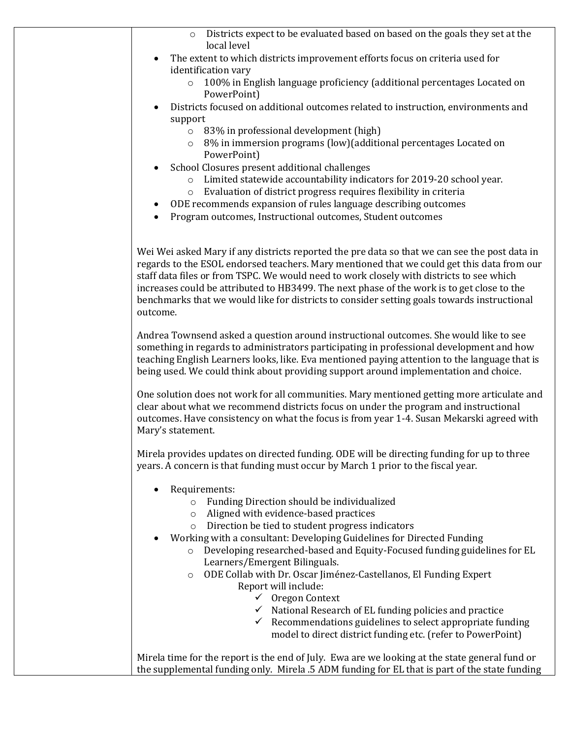| Districts expect to be evaluated based on based on the goals they set at the<br>$\circ$<br>local level                                                                                                                                                                                                                                                                                                                                                                                                                                                                                                                                                                                                                                            |
|---------------------------------------------------------------------------------------------------------------------------------------------------------------------------------------------------------------------------------------------------------------------------------------------------------------------------------------------------------------------------------------------------------------------------------------------------------------------------------------------------------------------------------------------------------------------------------------------------------------------------------------------------------------------------------------------------------------------------------------------------|
| The extent to which districts improvement efforts focus on criteria used for                                                                                                                                                                                                                                                                                                                                                                                                                                                                                                                                                                                                                                                                      |
| identification vary<br>100% in English language proficiency (additional percentages Located on<br>$\circ$<br>PowerPoint)                                                                                                                                                                                                                                                                                                                                                                                                                                                                                                                                                                                                                          |
| Districts focused on additional outcomes related to instruction, environments and<br>support                                                                                                                                                                                                                                                                                                                                                                                                                                                                                                                                                                                                                                                      |
| 83% in professional development (high)<br>$\circ$<br>8% in immersion programs (low) (additional percentages Located on<br>$\circ$                                                                                                                                                                                                                                                                                                                                                                                                                                                                                                                                                                                                                 |
| PowerPoint)<br>School Closures present additional challenges                                                                                                                                                                                                                                                                                                                                                                                                                                                                                                                                                                                                                                                                                      |
| Limited statewide accountability indicators for 2019-20 school year.<br>$\circ$<br>Evaluation of district progress requires flexibility in criteria<br>$\circ$                                                                                                                                                                                                                                                                                                                                                                                                                                                                                                                                                                                    |
| ODE recommends expansion of rules language describing outcomes<br>$\bullet$<br>Program outcomes, Instructional outcomes, Student outcomes                                                                                                                                                                                                                                                                                                                                                                                                                                                                                                                                                                                                         |
|                                                                                                                                                                                                                                                                                                                                                                                                                                                                                                                                                                                                                                                                                                                                                   |
| Wei Wei asked Mary if any districts reported the pre data so that we can see the post data in<br>regards to the ESOL endorsed teachers. Mary mentioned that we could get this data from our<br>staff data files or from TSPC. We would need to work closely with districts to see which<br>increases could be attributed to HB3499. The next phase of the work is to get close to the<br>benchmarks that we would like for districts to consider setting goals towards instructional<br>outcome.                                                                                                                                                                                                                                                  |
| Andrea Townsend asked a question around instructional outcomes. She would like to see<br>something in regards to administrators participating in professional development and how<br>teaching English Learners looks, like. Eva mentioned paying attention to the language that is<br>being used. We could think about providing support around implementation and choice.                                                                                                                                                                                                                                                                                                                                                                        |
| One solution does not work for all communities. Mary mentioned getting more articulate and<br>clear about what we recommend districts focus on under the program and instructional<br>outcomes. Have consistency on what the focus is from year 1-4. Susan Mekarski agreed with<br>Mary's statement.                                                                                                                                                                                                                                                                                                                                                                                                                                              |
| Mirela provides updates on directed funding. ODE will be directing funding for up to three<br>years. A concern is that funding must occur by March 1 prior to the fiscal year.                                                                                                                                                                                                                                                                                                                                                                                                                                                                                                                                                                    |
| Requirements:<br>Funding Direction should be individualized<br>$\circ$<br>Aligned with evidence-based practices<br>$\circ$<br>Direction be tied to student progress indicators<br>$\circ$<br>Working with a consultant: Developing Guidelines for Directed Funding<br>Developing researched-based and Equity-Focused funding guidelines for EL<br>$\circ$<br>Learners/Emergent Bilinguals.<br>ODE Collab with Dr. Oscar Jiménez-Castellanos, El Funding Expert<br>$\circ$<br>Report will include:<br>$\checkmark$ Oregon Context<br>$\checkmark$ National Research of EL funding policies and practice<br>Recommendations guidelines to select appropriate funding<br>$\checkmark$<br>model to direct district funding etc. (refer to PowerPoint) |
| Mirela time for the report is the end of July. Ewa are we looking at the state general fund or<br>the supplemental funding only. Mirela .5 ADM funding for EL that is part of the state funding                                                                                                                                                                                                                                                                                                                                                                                                                                                                                                                                                   |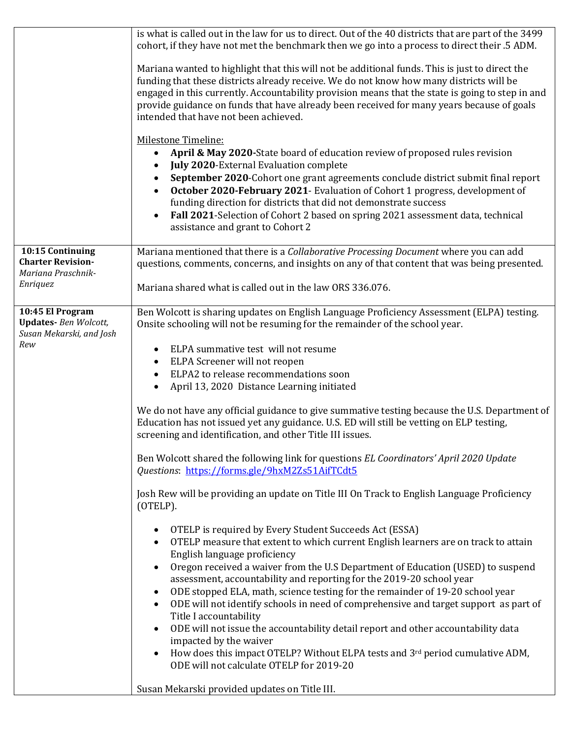|                                                                                     | is what is called out in the law for us to direct. Out of the 40 districts that are part of the 3499<br>cohort, if they have not met the benchmark then we go into a process to direct their .5 ADM.<br>Mariana wanted to highlight that this will not be additional funds. This is just to direct the<br>funding that these districts already receive. We do not know how many districts will be<br>engaged in this currently. Accountability provision means that the state is going to step in and<br>provide guidance on funds that have already been received for many years because of goals<br>intended that have not been achieved.<br><b>Milestone Timeline:</b><br>April & May 2020-State board of education review of proposed rules revision<br>$\bullet$<br><b>July 2020-External Evaluation complete</b><br>$\bullet$<br>September 2020-Cohort one grant agreements conclude district submit final report<br>October 2020-February 2021- Evaluation of Cohort 1 progress, development of<br>funding direction for districts that did not demonstrate success<br>Fall 2021-Selection of Cohort 2 based on spring 2021 assessment data, technical<br>$\bullet$<br>assistance and grant to Cohort 2                                                                                                                                                                                                                                                                                                                                                                                                                                                                                                                                                                                                               |
|-------------------------------------------------------------------------------------|------------------------------------------------------------------------------------------------------------------------------------------------------------------------------------------------------------------------------------------------------------------------------------------------------------------------------------------------------------------------------------------------------------------------------------------------------------------------------------------------------------------------------------------------------------------------------------------------------------------------------------------------------------------------------------------------------------------------------------------------------------------------------------------------------------------------------------------------------------------------------------------------------------------------------------------------------------------------------------------------------------------------------------------------------------------------------------------------------------------------------------------------------------------------------------------------------------------------------------------------------------------------------------------------------------------------------------------------------------------------------------------------------------------------------------------------------------------------------------------------------------------------------------------------------------------------------------------------------------------------------------------------------------------------------------------------------------------------------------------------------------------------------------------------------------------------------|
| 10:15 Continuing<br><b>Charter Revision-</b><br>Mariana Praschnik-<br>Enriquez      | Mariana mentioned that there is a Collaborative Processing Document where you can add<br>questions, comments, concerns, and insights on any of that content that was being presented.<br>Mariana shared what is called out in the law ORS 336.076.                                                                                                                                                                                                                                                                                                                                                                                                                                                                                                                                                                                                                                                                                                                                                                                                                                                                                                                                                                                                                                                                                                                                                                                                                                                                                                                                                                                                                                                                                                                                                                           |
| 10:45 El Program<br><b>Updates-</b> Ben Wolcott,<br>Susan Mekarski, and Josh<br>Rew | Ben Wolcott is sharing updates on English Language Proficiency Assessment (ELPA) testing.<br>Onsite schooling will not be resuming for the remainder of the school year.<br>ELPA summative test will not resume<br>$\bullet$<br>ELPA Screener will not reopen<br>$\bullet$<br>ELPA2 to release recommendations soon<br>$\bullet$<br>April 13, 2020 Distance Learning initiated<br>$\bullet$<br>We do not have any official guidance to give summative testing because the U.S. Department of<br>Education has not issued yet any guidance. U.S. ED will still be vetting on ELP testing,<br>screening and identification, and other Title III issues.<br>Ben Wolcott shared the following link for questions EL Coordinators' April 2020 Update<br>Questions: https://forms.gle/9hxM2Zs51AifTCdt5<br>Josh Rew will be providing an update on Title III On Track to English Language Proficiency<br>(OTELP).<br>OTELP is required by Every Student Succeeds Act (ESSA)<br>$\bullet$<br>OTELP measure that extent to which current English learners are on track to attain<br>$\bullet$<br>English language proficiency<br>Oregon received a waiver from the U.S Department of Education (USED) to suspend<br>$\bullet$<br>assessment, accountability and reporting for the 2019-20 school year<br>ODE stopped ELA, math, science testing for the remainder of 19-20 school year<br>٠<br>ODE will not identify schools in need of comprehensive and target support as part of<br>$\bullet$<br>Title I accountability<br>ODE will not issue the accountability detail report and other accountability data<br>$\bullet$<br>impacted by the waiver<br>How does this impact OTELP? Without ELPA tests and 3rd period cumulative ADM,<br>ODE will not calculate OTELP for 2019-20<br>Susan Mekarski provided updates on Title III. |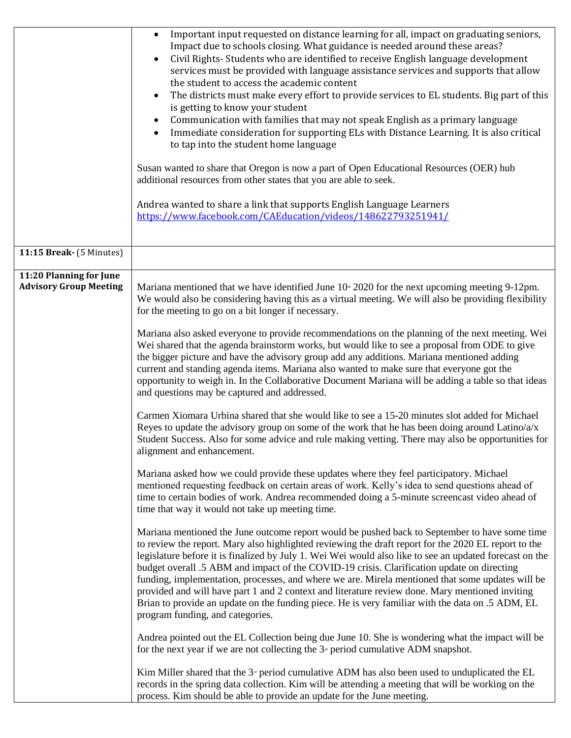|                                                          | Important input requested on distance learning for all, impact on graduating seniors,<br>$\bullet$<br>Impact due to schools closing. What guidance is needed around these areas?<br>Civil Rights- Students who are identified to receive English language development<br>services must be provided with language assistance services and supports that allow<br>the student to access the academic content<br>The districts must make every effort to provide services to EL students. Big part of this<br>$\bullet$<br>is getting to know your student<br>Communication with families that may not speak English as a primary language<br>Immediate consideration for supporting ELs with Distance Learning. It is also critical<br>to tap into the student home language<br>Susan wanted to share that Oregon is now a part of Open Educational Resources (OER) hub<br>additional resources from other states that you are able to seek.<br>Andrea wanted to share a link that supports English Language Learners<br>https://www.facebook.com/CAEducation/videos/148622793251941/                                                                                                                                                                                                                                                                                                                                                                                                                                                                                                                                                                                                                                                                                                                                                                                                                                                                                                                                                                                                                                                                                                                                                                                                                                                                                                                                                                                                                                                                                                                                                                                                                                                                                   |
|----------------------------------------------------------|-----------------------------------------------------------------------------------------------------------------------------------------------------------------------------------------------------------------------------------------------------------------------------------------------------------------------------------------------------------------------------------------------------------------------------------------------------------------------------------------------------------------------------------------------------------------------------------------------------------------------------------------------------------------------------------------------------------------------------------------------------------------------------------------------------------------------------------------------------------------------------------------------------------------------------------------------------------------------------------------------------------------------------------------------------------------------------------------------------------------------------------------------------------------------------------------------------------------------------------------------------------------------------------------------------------------------------------------------------------------------------------------------------------------------------------------------------------------------------------------------------------------------------------------------------------------------------------------------------------------------------------------------------------------------------------------------------------------------------------------------------------------------------------------------------------------------------------------------------------------------------------------------------------------------------------------------------------------------------------------------------------------------------------------------------------------------------------------------------------------------------------------------------------------------------------------------------------------------------------------------------------------------------------------------------------------------------------------------------------------------------------------------------------------------------------------------------------------------------------------------------------------------------------------------------------------------------------------------------------------------------------------------------------------------------------------------------------------------------------------------------------------------|
| 11:15 Break- (5 Minutes)                                 |                                                                                                                                                                                                                                                                                                                                                                                                                                                                                                                                                                                                                                                                                                                                                                                                                                                                                                                                                                                                                                                                                                                                                                                                                                                                                                                                                                                                                                                                                                                                                                                                                                                                                                                                                                                                                                                                                                                                                                                                                                                                                                                                                                                                                                                                                                                                                                                                                                                                                                                                                                                                                                                                                                                                                                       |
| 11:20 Planning for June<br><b>Advisory Group Meeting</b> | Mariana mentioned that we have identified June $10th 2020$ for the next upcoming meeting 9-12pm.<br>We would also be considering having this as a virtual meeting. We will also be providing flexibility<br>for the meeting to go on a bit longer if necessary.<br>Mariana also asked everyone to provide recommendations on the planning of the next meeting. Wei<br>Wei shared that the agenda brainstorm works, but would like to see a proposal from ODE to give<br>the bigger picture and have the advisory group add any additions. Mariana mentioned adding<br>current and standing agenda items. Mariana also wanted to make sure that everyone got the<br>opportunity to weigh in. In the Collaborative Document Mariana will be adding a table so that ideas<br>and questions may be captured and addressed.<br>Carmen Xiomara Urbina shared that she would like to see a 15-20 minutes slot added for Michael<br>Reyes to update the advisory group on some of the work that he has been doing around Latino/ $a/x$<br>Student Success. Also for some advice and rule making vetting. There may also be opportunities for<br>alignment and enhancement.<br>Mariana asked how we could provide these updates where they feel participatory. Michael<br>mentioned requesting feedback on certain areas of work. Kelly's idea to send questions ahead of<br>time to certain bodies of work. Andrea recommended doing a 5-minute screencast video ahead of<br>time that way it would not take up meeting time.<br>Mariana mentioned the June outcome report would be pushed back to September to have some time<br>to review the report. Mary also highlighted reviewing the draft report for the 2020 EL report to the<br>legislature before it is finalized by July 1. Wei Wei would also like to see an updated forecast on the<br>budget overall .5 ABM and impact of the COVID-19 crisis. Clarification update on directing<br>funding, implementation, processes, and where we are. Mirela mentioned that some updates will be<br>provided and will have part 1 and 2 context and literature review done. Mary mentioned inviting<br>Brian to provide an update on the funding piece. He is very familiar with the data on .5 ADM, EL<br>program funding, and categories.<br>Andrea pointed out the EL Collection being due June 10. She is wondering what the impact will be<br>for the next year if we are not collecting the $3nd$ period cumulative ADM snapshot.<br>Kim Miller shared that the $3d$ period cumulative ADM has also been used to unduplicated the EL<br>records in the spring data collection. Kim will be attending a meeting that will be working on the<br>process. Kim should be able to provide an update for the June meeting. |